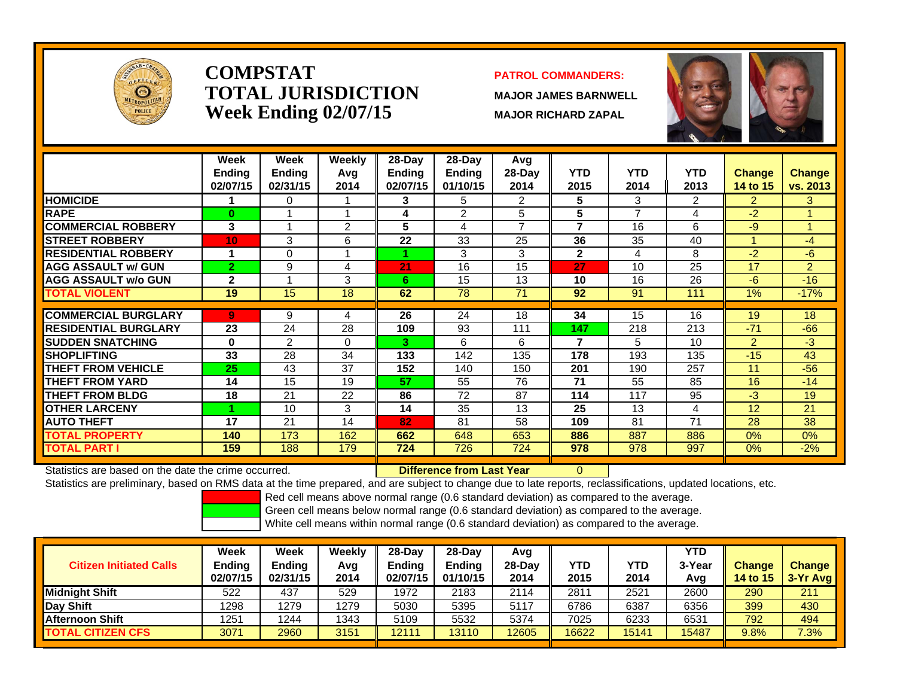

### **COMPSTATTOTAL JURISDICTIONWeek Ending 02/07/15 MAJOR RICHARD ZAPAL**

#### **PATROL COMMANDERS:**

**MAJOR JAMES BARNWELL**

0



|                             | Week            | Week          | <b>Weekly</b> | $28$ -Day     | $28$ -Day | Avg      |              |      |            |                |                |
|-----------------------------|-----------------|---------------|---------------|---------------|-----------|----------|--------------|------|------------|----------------|----------------|
|                             | <b>Ending</b>   | <b>Endina</b> | Avg           | <b>Ending</b> | Ending    | $28-Day$ | <b>YTD</b>   | YTD  | <b>YTD</b> | Change         | Change         |
|                             | 02/07/15        | 02/31/15      | 2014          | 02/07/15      | 01/10/15  | 2014     | 2015         | 2014 | 2013       | 14 to 15       | vs. 2013       |
| <b>HOMICIDE</b>             |                 | 0             |               | 3             | 5         | 2        | 5            | 3    | 2          | $\overline{2}$ | 3              |
| <b>RAPE</b>                 | 0               |               |               | 4             | 2         | 5        | 5            | 7    | 4          | $-2$           | 1              |
| <b>COMMERCIAL ROBBERY</b>   | 3               |               | 2             | 5             | 4         | 7        | 7            | 16   | 6          | $-9$           | $\mathbf{1}$   |
| <b>STREET ROBBERY</b>       | 10 <sub>1</sub> | 3             | 6             | 22            | 33        | 25       | 36           | 35   | 40         |                | $-4$           |
| <b>RESIDENTIAL ROBBERY</b>  |                 | 0             |               |               | 3         | 3        | $\mathbf{2}$ | 4    | 8          | $-2$           | $-6$           |
| <b>AGG ASSAULT w/ GUN</b>   | $\mathbf{2}$    | 9             | 4             | 21            | 16        | 15       | 27           | 10   | 25         | 17             | $\overline{2}$ |
| <b>AGG ASSAULT w/o GUN</b>  | $\mathbf{2}$    |               | 3             | 6             | 15        | 13       | 10           | 16   | 26         | $-6$           | $-16$          |
| <b>TOTAL VIOLENT</b>        | 19              | 15            | 18            | 62            | 78        | 71       | 92           | 91   | 111        | 1%             | $-17%$         |
| <b>COMMERCIAL BURGLARY</b>  | 9               | 9             | 4             | 26            | 24        | 18       | 34           | 15   | 16         | 19             | 18             |
|                             |                 |               |               |               |           |          |              |      |            |                |                |
| <b>RESIDENTIAL BURGLARY</b> | 23              | 24            | 28            | 109           | 93        | 111      | 147          | 218  | 213        | $-71$          | $-66$          |
| <b>ISUDDEN SNATCHING</b>    | $\bf{0}$        | 2             | $\Omega$      | 3             | 6         | 6        | 7            | 5    | 10         | $\overline{2}$ | $-3$           |
| <b>SHOPLIFTING</b>          | 33              | 28            | 34            | 133           | 142       | 135      | 178          | 193  | 135        | $-15$          | 43             |
| <b>THEFT FROM VEHICLE</b>   | 25              | 43            | 37            | 152           | 140       | 150      | 201          | 190  | 257        | 11             | $-56$          |
| <b>THEFT FROM YARD</b>      | 14              | 15            | 19            | 57            | 55        | 76       | 71           | 55   | 85         | 16             | $-14$          |
| <b>THEFT FROM BLDG</b>      | 18              | 21            | 22            | 86            | 72        | 87       | 114          | 117  | 95         | $-3$           | 19             |
| <b>OTHER LARCENY</b>        |                 | 10            | 3             | 14            | 35        | 13       | 25           | 13   | 4          | 12             | 21             |
| <b>AUTO THEFT</b>           | 17              | 21            | 14            | 82            | 81        | 58       | 109          | 81   | 71         | 28             | 38             |
| <b>TOTAL PROPERTY</b>       | 140             | 173           | 162           | 662           | 648       | 653      | 886          | 887  | 886        | $0\%$          | 0%             |
| <b>TOTAL PART I</b>         | 159             | 188           | 179           | 724           | 726       | 724      | 978          | 978  | 997        | $0\%$          | $-2%$          |

Statistics are based on the date the crime occurred. **Difference from Last Year** 

Statistics are preliminary, based on RMS data at the time prepared, and are subject to change due to late reports, reclassifications, updated locations, etc.

Red cell means above normal range (0.6 standard deviation) as compared to the average.

Green cell means below normal range (0.6 standard deviation) as compared to the average.

| <b>Citizen Initiated Calls</b> | Week<br>Ending<br>02/07/15 | Week<br><b>Endina</b><br>02/31/15 | Weekly<br>Avg<br>2014 | 28-Dav<br>Endina<br>02/07/15 | $28-Dav$<br><b>Endina</b><br>01/10/15 | Avg<br>28-Day<br>2014 | YTD<br>2015 | YTD<br>2014 | <b>YTD</b><br>3-Year<br>Avg | <b>Change</b><br><b>14 to 15</b> | <b>Change</b><br>3-Yr Avg |
|--------------------------------|----------------------------|-----------------------------------|-----------------------|------------------------------|---------------------------------------|-----------------------|-------------|-------------|-----------------------------|----------------------------------|---------------------------|
| <b>IMidniaht Shift</b>         | 522                        | 437                               | 529                   | 1972                         | 2183                                  | 2114                  | 2811        | 2521        | 2600                        | 290                              | 211                       |
| Day Shift                      | 1298                       | 1279                              | 1279                  | 5030                         | 5395                                  | 5117                  | 6786        | 6387        | 6356                        | 399                              | 430                       |
| <b>IAfternoon Shift</b>        | 1251                       | 1244                              | 1343                  | 5109                         | 5532                                  | 5374                  | 7025        | 6233        | 6531                        | 792                              | 494                       |
| <b>TOTAL CITIZEN CFS</b>       | 3071                       | 2960                              | 3151                  | 12111                        | 13110                                 | 12605                 | 16622       | 15141       | 15487                       | 9.8%                             | 7.3%                      |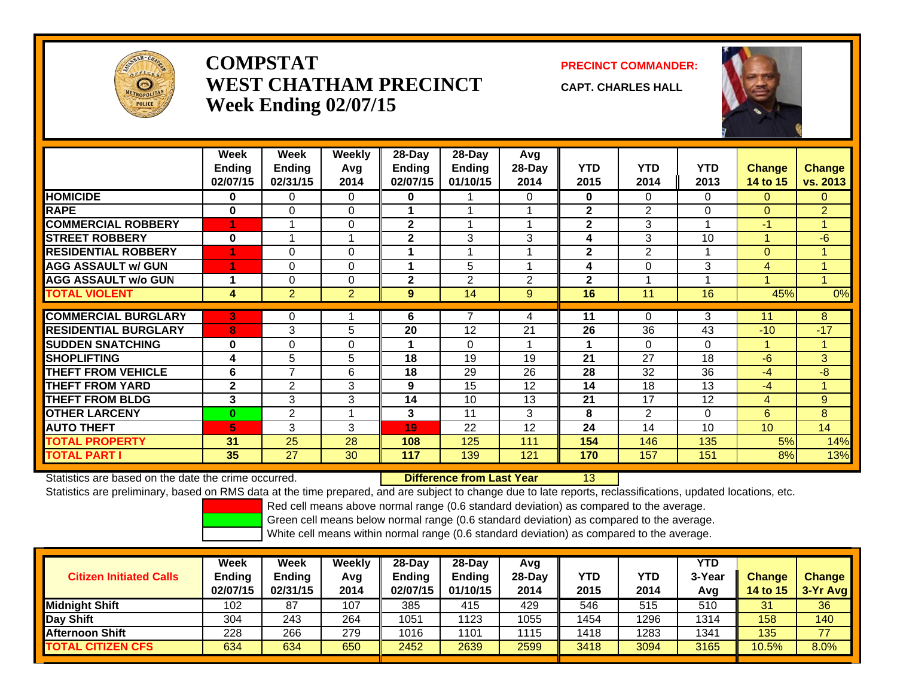

# **COMPSTATWEST CHATHAM PRECINCTWeek Ending 02/07/15**

**PRECINCT COMMANDER:**

**CAPT. CHARLES HALL**



|                             | Week<br><b>Ending</b><br>02/07/15 | Week<br>Ending<br>02/31/15 | Weekly<br>Avg<br>2014 | $28$ -Day<br><b>Ending</b><br>02/07/15 | 28-Day<br>Ending<br>01/10/15 | Avg<br>28-Day<br>2014 | <b>YTD</b><br>2015 | <b>YTD</b><br>2014 | <b>YTD</b><br>2013 | <b>Change</b><br><b>14 to 15</b> | <b>Change</b><br>vs. 2013 |
|-----------------------------|-----------------------------------|----------------------------|-----------------------|----------------------------------------|------------------------------|-----------------------|--------------------|--------------------|--------------------|----------------------------------|---------------------------|
| <b>HOMICIDE</b>             | 0                                 | 0                          | 0                     | $\bf{0}$                               |                              | 0                     | $\mathbf{0}$       | $\Omega$           | $\Omega$           | $\mathbf{0}$                     | $\Omega$                  |
| <b>RAPE</b>                 | $\bf{0}$                          | 0                          | $\Omega$              |                                        |                              |                       | $\overline{2}$     | $\overline{2}$     | $\Omega$           | $\Omega$                         | $\overline{2}$            |
| <b>COMMERCIAL ROBBERY</b>   |                                   | 4                          | $\Omega$              | $\mathbf{2}$                           | 4                            |                       | $\mathbf{2}$       | 3                  |                    | $-1$                             | $\blacktriangleleft$      |
| <b>STREET ROBBERY</b>       | $\bf{0}$                          | 1                          | 1                     | 2                                      | 3                            | 3                     | 4                  | 3                  | 10                 |                                  | -6                        |
| <b>RESIDENTIAL ROBBERY</b>  |                                   | 0                          | $\Omega$              |                                        |                              |                       | $\overline{2}$     | $\overline{2}$     |                    | $\overline{0}$                   |                           |
| <b>AGG ASSAULT w/ GUN</b>   |                                   | 0                          | $\Omega$              | 4                                      | 5                            |                       | 4                  | $\mathbf 0$        | 3                  | 4                                |                           |
| <b>AGG ASSAULT w/o GUN</b>  |                                   | 0                          | $\Omega$              | $\mathbf{2}$                           | $\overline{2}$               | $\overline{2}$        | $\overline{2}$     |                    |                    |                                  |                           |
| <b>TOTAL VIOLENT</b>        | 4                                 | $\overline{2}$             | $\overline{2}$        | $\boldsymbol{9}$                       | 14                           | 9                     | 16                 | 11                 | 16                 | 45%                              | 0%                        |
|                             |                                   |                            |                       |                                        | 7                            |                       |                    |                    |                    |                                  |                           |
| <b>COMMERCIAL BURGLARY</b>  | 3                                 | 0                          |                       | 6                                      |                              | 4                     | 11                 | $\Omega$           | 3                  | 11                               | 8                         |
| <b>RESIDENTIAL BURGLARY</b> | 8                                 | 3                          | 5                     | 20                                     | 12                           | 21                    | 26                 | 36                 | 43                 | $-10$                            | $-17$                     |
| <b>SUDDEN SNATCHING</b>     | 0                                 | $\Omega$                   | $\Omega$              | 1                                      | $\Omega$                     |                       |                    | $\Omega$           | $\Omega$           |                                  | -1                        |
| <b>SHOPLIFTING</b>          | 4                                 | 5                          | 5                     | 18                                     | 19                           | 19                    | 21                 | 27                 | 18                 | -6                               | 3                         |
| <b>THEFT FROM VEHICLE</b>   | 6                                 | 7                          | 6                     | 18                                     | 29                           | 26                    | 28                 | 32                 | 36                 | -4                               | -8                        |
| <b>THEFT FROM YARD</b>      | $\mathbf{2}$                      | $\overline{2}$             | 3                     | 9                                      | 15                           | 12                    | 14                 | 18                 | 13                 | $-4$                             | -4                        |
| <b>THEFT FROM BLDG</b>      | 3                                 | 3                          | 3                     | 14                                     | 10                           | 13                    | 21                 | 17                 | 12                 | $\overline{4}$                   | 9                         |
| <b>OTHER LARCENY</b>        | $\mathbf{0}$                      | 2                          | 1                     | 3                                      | 11                           | 3                     | 8                  | $\overline{2}$     | $\Omega$           | 6                                | 8                         |
| <b>AUTO THEFT</b>           | 6                                 | 3                          | 3                     | 19                                     | 22                           | 12                    | 24                 | 14                 | 10                 | 10 <sup>1</sup>                  | 14                        |
| <b>TOTAL PROPERTY</b>       | 31                                | 25                         | 28                    | 108                                    | 125                          | 111                   | 154                | 146                | 135                | 5%                               | 14%                       |
| <b>TOTAL PART I</b>         | 35                                | 27                         | 30                    | 117                                    | 139                          | 121                   | 170                | 157                | 151                | 8%                               | 13%                       |

Statistics are based on the date the crime occurred. **Difference from Last Year** 

13

Statistics are preliminary, based on RMS data at the time prepared, and are subject to change due to late reports, reclassifications, updated locations, etc.

Red cell means above normal range (0.6 standard deviation) as compared to the average.

Green cell means below normal range (0.6 standard deviation) as compared to the average.

| <b>Citizen Initiated Calls</b> | Week<br><b>Ending</b><br>02/07/15 | Week<br><b>Ending</b><br>02/31/15 | Weekly<br>Avg<br>2014 | $28$ -Day<br><b>Ending</b><br>02/07/15 | $28-Dav$<br><b>Ending</b><br>01/10/15 | Avg<br>$28$ -Day<br>2014 | YTD<br>2015 | YTD<br>2014 | YTD<br>3-Year<br>Avg | Change<br><b>14 to 15</b> | <b>Change</b><br>$3-Yr$ Avg |
|--------------------------------|-----------------------------------|-----------------------------------|-----------------------|----------------------------------------|---------------------------------------|--------------------------|-------------|-------------|----------------------|---------------------------|-----------------------------|
| <b>Midnight Shift</b>          | 102                               | 87                                | 107                   | 385                                    | 415                                   | 429                      | 546         | 515         | 510                  | 31                        | 36                          |
| <b>Day Shift</b>               | 304                               | 243                               | 264                   | 1051                                   | 1123                                  | 1055                     | 1454        | 1296        | 1314                 | 158                       | 140                         |
| IAfternoon Shift               | 228                               | 266                               | 279                   | 1016                                   | 1101                                  | 1115                     | 1418        | 1283        | 1341                 | 135                       | 77                          |
| <b>TOTAL CITIZEN CFS</b>       | 634                               | 634                               | 650                   | 2452                                   | 2639                                  | 2599                     | 3418        | 3094        | 3165                 | 10.5%                     | 8.0%                        |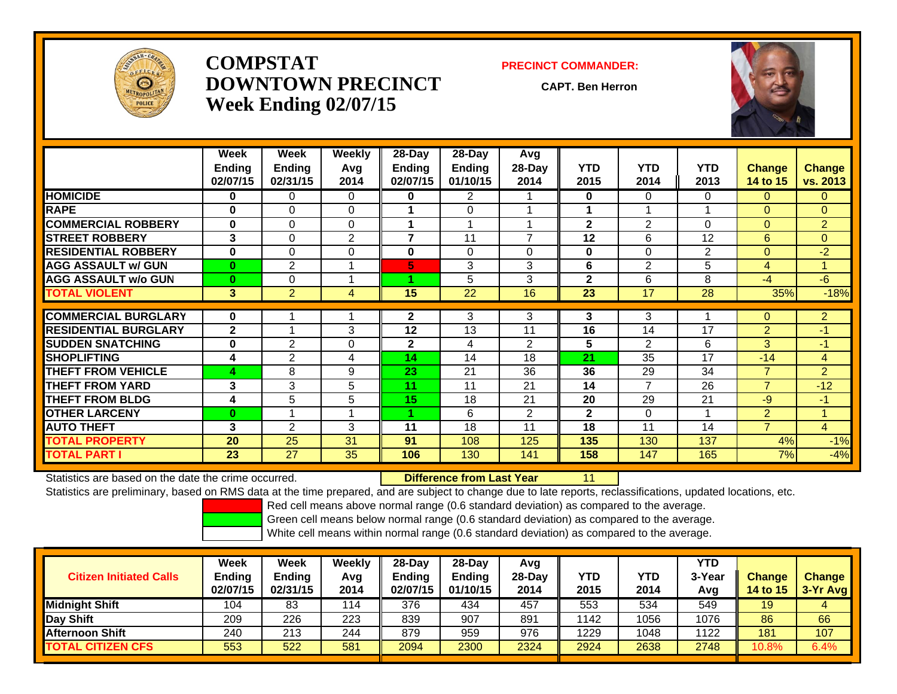

## **COMPSTATDOWNTOWN PRECINCTWeek Ending 02/07/15**

#### **PRECINCT COMMANDER:**

**CAPT. Ben Herron**

11



|                             | Week<br><b>Ending</b><br>02/07/15 | Week<br><b>Ending</b><br>02/31/15 | Weekly<br>Avg<br>2014 | $28-Day$<br><b>Ending</b><br>02/07/15 | 28-Day<br>Endina<br>01/10/15 | Avg<br>28-Day<br>2014 | <b>YTD</b><br>2015 | <b>YTD</b><br>2014 | <b>YTD</b><br>2013 | <b>Change</b><br>14 to 15 | <b>Change</b><br>vs. 2013 |
|-----------------------------|-----------------------------------|-----------------------------------|-----------------------|---------------------------------------|------------------------------|-----------------------|--------------------|--------------------|--------------------|---------------------------|---------------------------|
| <b>HOMICIDE</b>             | 0                                 | 0                                 | $\Omega$              | $\bf{0}$                              | $\overline{2}$               |                       | $\mathbf{0}$       | 0                  | $\Omega$           | 0                         | $\mathbf{0}$              |
| <b>RAPE</b>                 | 0                                 | $\Omega$                          | 0                     |                                       | $\Omega$                     |                       |                    |                    |                    | $\Omega$                  | $\Omega$                  |
| <b>COMMERCIAL ROBBERY</b>   | $\bf{0}$                          | $\Omega$                          | $\Omega$              | 4                                     |                              |                       | $\mathbf{2}$       | $\overline{2}$     | $\Omega$           | $\overline{0}$            | $\overline{2}$            |
| <b>STREET ROBBERY</b>       | 3                                 | $\Omega$                          | $\overline{2}$        | 7                                     | 11                           | $\overline{ }$        | 12                 | 6                  | 12                 | 6                         | $\overline{0}$            |
| <b>RESIDENTIAL ROBBERY</b>  | 0                                 | $\Omega$                          | $\Omega$              | $\mathbf{0}$                          | $\Omega$                     | $\Omega$              | $\bf{0}$           | $\Omega$           | $\overline{2}$     | $\Omega$                  | $-2$                      |
| <b>AGG ASSAULT w/ GUN</b>   | $\mathbf{0}$                      | $\overline{2}$                    |                       | 5                                     | 3                            | 3                     | 6                  | $\overline{2}$     | 5                  | $\overline{4}$            | 1                         |
| <b>AGG ASSAULT w/o GUN</b>  | $\bf{0}$                          | 0                                 |                       | 4.                                    | 5                            | 3                     | $\mathbf{2}$       | 6                  | 8                  | $-4$                      | $-6$                      |
| <b>TOTAL VIOLENT</b>        | 3                                 | $\overline{2}$                    | 4                     | 15                                    | 22                           | 16                    | 23                 | 17                 | 28                 | 35%                       | $-18%$                    |
|                             |                                   |                                   |                       |                                       |                              |                       |                    |                    |                    |                           |                           |
| <b>COMMERCIAL BURGLARY</b>  | $\bf{0}$                          |                                   |                       | $\mathbf{2}$                          | 3                            | 3                     | 3                  | 3                  |                    | $\overline{0}$            | $\overline{2}$            |
| <b>RESIDENTIAL BURGLARY</b> | $\mathbf{2}$                      |                                   | 3                     | 12                                    | 13                           | 11                    | 16                 | 14                 | 17                 | $\overline{2}$            | $-1$                      |
| <b>SUDDEN SNATCHING</b>     | 0                                 | 2                                 | 0                     | $\mathbf{2}$                          | 4                            | 2                     | 5                  | $\overline{2}$     | 6                  | 3                         | $-1$                      |
| <b>SHOPLIFTING</b>          | 4                                 | 2                                 | 4                     | 14                                    | 14                           | 18                    | 21                 | 35                 | 17                 | $-14$                     | $\overline{4}$            |
| <b>THEFT FROM VEHICLE</b>   | 4                                 | 8                                 | 9                     | 23                                    | 21                           | 36                    | 36                 | 29                 | 34                 | $\overline{7}$            | $\overline{2}$            |
| <b>THEFT FROM YARD</b>      | 3                                 | 3                                 | 5                     | 11                                    | 11                           | 21                    | 14                 | $\overline{7}$     | 26                 | $\overline{7}$            | $-12$                     |
| <b>THEFT FROM BLDG</b>      | 4                                 | 5                                 | 5                     | 15                                    | 18                           | 21                    | 20                 | 29                 | 21                 | $-9$                      | $-1$                      |
| <b>OTHER LARCENY</b>        | $\bf{0}$                          |                                   |                       | 1.                                    | 6                            | $\overline{2}$        | $\mathbf{2}$       | 0                  | 1                  | $\overline{2}$            | 4                         |
| <b>AUTO THEFT</b>           | 3                                 | 2                                 | 3                     | 11                                    | 18                           | 11                    | 18                 | 11                 | 14                 | $\overline{7}$            | $\overline{4}$            |
| <b>TOTAL PROPERTY</b>       | 20                                | 25                                | 31                    | 91                                    | 108                          | 125                   | 135                | 130                | 137                | 4%                        | $-1%$                     |
| <b>TOTAL PART I</b>         | 23                                | 27                                | 35                    | 106                                   | 130                          | 141                   | 158                | 147                | 165                | 7%                        | $-4%$                     |

Statistics are based on the date the crime occurred. **Difference from Last Year** 

Statistics are preliminary, based on RMS data at the time prepared, and are subject to change due to late reports, reclassifications, updated locations, etc.

Red cell means above normal range (0.6 standard deviation) as compared to the average.

Green cell means below normal range (0.6 standard deviation) as compared to the average.

| <b>Citizen Initiated Calls</b> | Week<br><b>Ending</b><br>02/07/15 | Week<br><b>Ending</b><br>02/31/15 | Weekly<br>Avg<br>2014 | $28$ -Day<br>Endina<br>02/07/15 | $28-Day$<br><b>Ending</b><br>01/10/15 | Avg<br>$28$ -Day<br>2014 | YTD<br>2015 | YTD<br>2014 | YTD<br>3-Year<br>Avg | <b>Change</b><br>14 to 15 | <b>Change</b><br>$3-Yr$ Avg |
|--------------------------------|-----------------------------------|-----------------------------------|-----------------------|---------------------------------|---------------------------------------|--------------------------|-------------|-------------|----------------------|---------------------------|-----------------------------|
| <b>Midnight Shift</b>          | 104                               | 83                                | 114                   | 376                             | 434                                   | 457                      | 553         | 534         | 549                  | 19                        | 4                           |
| <b>Day Shift</b>               | 209                               | 226                               | 223                   | 839                             | 907                                   | 891                      | 1142        | 1056        | 1076                 | 86                        | 66                          |
| IAfternoon Shift               | 240                               | 213                               | 244                   | 879                             | 959                                   | 976                      | 1229        | 1048        | 1122                 | 181                       | 107                         |
| <b>TOTAL CITIZEN CFS</b>       | 553                               | 522                               | 581                   | 2094                            | 2300                                  | 2324                     | 2924        | 2638        | 2748                 | 10.8%                     | 6.4%                        |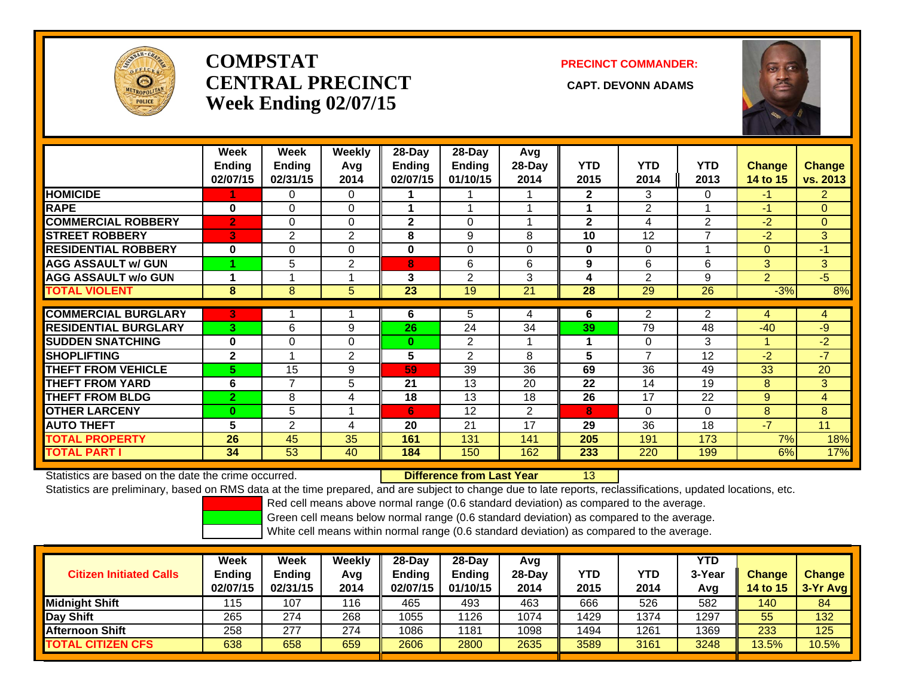

# **COMPSTATCENTRAL PRECINCT CAPT. DEVONN ADAMSWeek Ending 02/07/15**

### **PRECINCT COMMANDER:**



|                             | Week           | Week           | Weekly   | 28-Day       | 28-Day         | Avg            |              |                |                          |                |                |
|-----------------------------|----------------|----------------|----------|--------------|----------------|----------------|--------------|----------------|--------------------------|----------------|----------------|
|                             | <b>Ending</b>  | <b>Ending</b>  | Avg      | Ending       | <b>Ending</b>  | 28-Day         | <b>YTD</b>   | <b>YTD</b>     | <b>YTD</b>               | <b>Change</b>  | <b>Change</b>  |
|                             | 02/07/15       | 02/31/15       | 2014     | 02/07/15     | 01/10/15       | 2014           | 2015         | 2014           | 2013                     | 14 to 15       | vs. 2013       |
| <b>HOMICIDE</b>             |                | 0              | $\Omega$ |              |                |                | $\mathbf{2}$ | 3              | 0                        | $-1$           | $\overline{2}$ |
| <b>RAPE</b>                 | $\bf{0}$       | $\Omega$       | $\Omega$ |              |                |                | 1            | $\overline{2}$ |                          | $-1$           | $\Omega$       |
| <b>COMMERCIAL ROBBERY</b>   | $\overline{2}$ | $\Omega$       | $\Omega$ | $\mathbf{2}$ | $\Omega$       |                | $\mathbf{2}$ | 4              | 2                        | $-2$           | $\Omega$       |
| <b>STREET ROBBERY</b>       | 3              | $\overline{2}$ | 2        | 8            | 9              | 8              | 10           | 12             | $\overline{\phantom{a}}$ | $-2$           | 3              |
| <b>RESIDENTIAL ROBBERY</b>  | $\bf{0}$       | $\Omega$       | $\Omega$ | $\bf{0}$     | $\Omega$       | 0              | $\bf{0}$     | 0              |                          | $\Omega$       | $-1$           |
| <b>AGG ASSAULT w/ GUN</b>   |                | 5              | 2        | 8            | 6              | 6              | 9            | 6              | 6                        | 3 <sup>1</sup> | 3 <sup>1</sup> |
| <b>AGG ASSAULT w/o GUN</b>  |                |                |          | 3            | $\overline{2}$ | 3              | 4            | $\overline{2}$ | 9                        | $\overline{2}$ | $-5$           |
| <b>TOTAL VIOLENT</b>        | 8              | 8              | 5        | 23           | 19             | 21             | 28           | 29             | 26                       | $-3%$          | 8%             |
|                             |                |                |          |              |                |                |              |                |                          |                |                |
| <b>COMMERCIAL BURGLARY</b>  | 3              |                |          | 6            | 5              | 4              | 6            | $\overline{2}$ | 2                        | 4              | 4              |
| <b>RESIDENTIAL BURGLARY</b> | 3              | 6              | 9        | 26           | 24             | 34             | 39           | 79             | 48                       | $-40$          | $-9$           |
| <b>SUDDEN SNATCHING</b>     | $\bf{0}$       | $\Omega$       | $\Omega$ | $\bf{0}$     | $\overline{2}$ |                | 1            | 0              | 3                        |                | $-2$           |
| <b>SHOPLIFTING</b>          | $\mathbf{2}$   |                | 2        | 5            | $\mathbf{2}$   | 8              | 5            | 7              | 12                       | $-2$           | -7             |
| <b>THEFT FROM VEHICLE</b>   | 5.             | 15             | 9        | 59           | 39             | 36             | 69           | 36             | 49                       | 33             | 20             |
| <b>THEFT FROM YARD</b>      | 6              | 7              | 5        | 21           | 13             | 20             | 22           | 14             | 19                       | 8              | 3              |
| <b>THEFT FROM BLDG</b>      | $\overline{2}$ | 8              | 4        | 18           | 13             | 18             | 26           | 17             | 22                       | 9              | $\overline{4}$ |
| <b>OTHER LARCENY</b>        | $\mathbf{0}$   | 5              |          | 6            | 12             | $\overline{2}$ | 8            | 0              | $\Omega$                 | 8              | 8              |
| <b>AUTO THEFT</b>           | 5              | 2              | 4        | 20           | 21             | 17             | 29           | 36             | 18                       | $-7$           | 11             |
| <b>TOTAL PROPERTY</b>       | 26             | 45             | 35       | 161          | 131            | 141            | 205          | 191            | 173                      | 7%             | 18%            |
| <b>TOTAL PART I</b>         | 34             | 53             | 40       | 184          | 150            | 162            | 233          | 220            | 199                      | 6%             | 17%            |

Statistics are based on the date the crime occurred. **Difference from Last Year** 

13

Statistics are preliminary, based on RMS data at the time prepared, and are subject to change due to late reports, reclassifications, updated locations, etc.

Red cell means above normal range (0.6 standard deviation) as compared to the average.

Green cell means below normal range (0.6 standard deviation) as compared to the average.

| <b>Citizen Initiated Calls</b> | Week<br><b>Ending</b><br>02/07/15 | <b>Week</b><br>Ending<br>02/31/15 | Weekly<br>Avg<br>2014 | $28$ -Dav<br>Ending<br>02/07/15 | $28-Dav$<br><b>Ending</b><br>01/10/15 | Avq<br>$28-Dav$<br>2014 | YTD<br>2015 | YTD<br>2014 | <b>YTD</b><br>3-Year<br>Avg | <b>Change</b><br><b>14 to 15</b> | <b>Change</b><br>$3-Yr$ Avg |
|--------------------------------|-----------------------------------|-----------------------------------|-----------------------|---------------------------------|---------------------------------------|-------------------------|-------------|-------------|-----------------------------|----------------------------------|-----------------------------|
| Midnight Shift                 | 115                               | 107                               | 116                   | 465                             | 493                                   | 463                     | 666         | 526         | 582                         | 140                              | 84                          |
| Day Shift                      | 265                               | 274                               | 268                   | 1055                            | 1126                                  | 1074                    | 1429        | 1374        | 1297                        | 55                               | 132                         |
| <b>Afternoon Shift</b>         | 258                               | 277                               | 274                   | 1086                            | 1181                                  | 1098                    | 1494        | 1261        | 1369                        | 233                              | 125                         |
| <b>TOTAL CITIZEN CFS</b>       | 638                               | 658                               | 659                   | 2606                            | 2800                                  | 2635                    | 3589        | 3161        | 3248                        | 13.5%                            | 10.5%                       |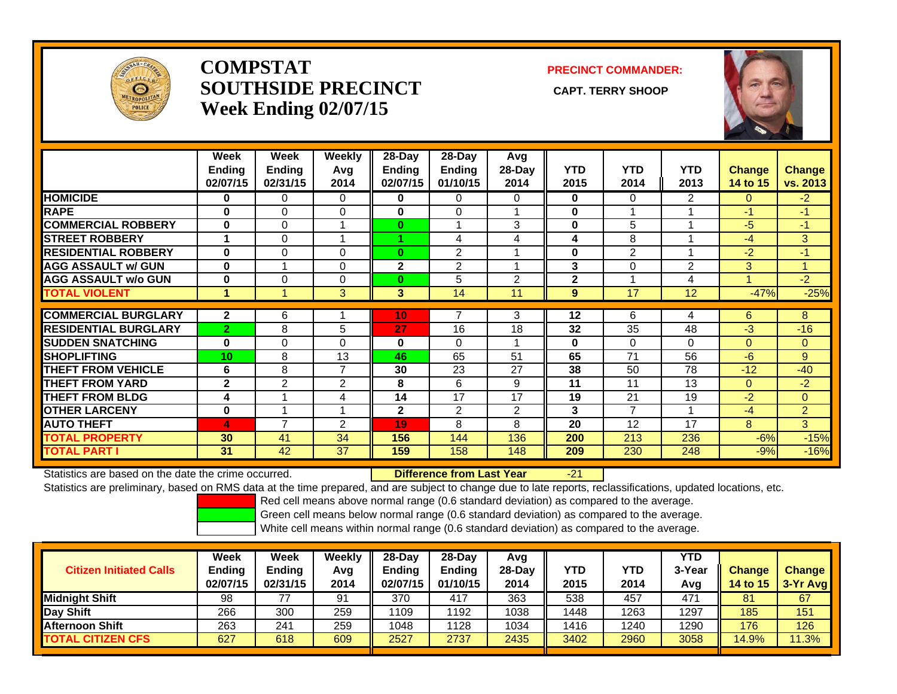

## **COMPSTATSOUTHSIDE PRECINCT** CAPT. TERRY SHOOP **Week Ending 02/07/15**

**PRECINCT COMMANDER:**



|                             | Week<br>Ending<br>02/07/15 | Week<br><b>Ending</b><br>02/31/15 | <b>Weekly</b><br>Avg<br>2014 | $28 - Day$<br><b>Ending</b><br>02/07/15 | $28 - Day$<br><b>Ending</b><br>01/10/15 | Avg<br>28-Day<br>2014 | <b>YTD</b><br>2015      | <b>YTD</b><br>2014 | <b>YTD</b><br>2013 | <b>Change</b><br>14 to 15 | <b>Change</b><br>vs. 2013 |
|-----------------------------|----------------------------|-----------------------------------|------------------------------|-----------------------------------------|-----------------------------------------|-----------------------|-------------------------|--------------------|--------------------|---------------------------|---------------------------|
| <b>HOMICIDE</b>             | 0                          | $\Omega$                          | 0                            | 0                                       | 0                                       | 0                     | 0                       | 0                  | 2                  | $\Omega$                  | $-2$                      |
| <b>RAPE</b>                 | $\bf{0}$                   | $\Omega$                          | 0                            | 0                                       | 0                                       |                       | $\bf{0}$                |                    |                    | $-1$                      | $-1$                      |
| <b>COMMERCIAL ROBBERY</b>   | $\bf{0}$                   | $\Omega$                          |                              | $\bf{0}$                                | 1                                       | 3                     | $\bf{0}$                | 5                  |                    | -5                        | $-1$                      |
| <b>STREET ROBBERY</b>       |                            | $\Omega$                          |                              |                                         | 4                                       | 4                     | $\overline{\mathbf{4}}$ | 8                  |                    | -4                        | 3                         |
| <b>RESIDENTIAL ROBBERY</b>  | $\bf{0}$                   | $\Omega$                          | $\Omega$                     | $\bf{0}$                                | 2                                       |                       | $\bf{0}$                | 2                  |                    | $-2$                      | $-1$                      |
| <b>AGG ASSAULT w/ GUN</b>   | $\bf{0}$                   |                                   | $\Omega$                     | $\mathbf{2}$                            | 2                                       |                       | 3                       | 0                  | $\overline{2}$     | 3                         |                           |
| <b>AGG ASSAULT w/o GUN</b>  | 0                          | 0                                 | 0                            | $\bf{0}$                                | 5                                       | 2                     | $\mathbf{2}$            |                    | 4                  |                           | $-2$                      |
| <b>TOTAL VIOLENT</b>        | ٠                          |                                   | 3                            | 3                                       | 14                                      | 11                    | 9                       | 17                 | 12                 | $-47%$                    | $-25%$                    |
|                             |                            |                                   |                              |                                         |                                         |                       |                         |                    |                    |                           |                           |
| <b>COMMERCIAL BURGLARY</b>  | $\overline{2}$             | 6                                 |                              | 10                                      | 7                                       | 3                     | 12                      | 6                  | 4                  | 6                         | 8                         |
| <b>RESIDENTIAL BURGLARY</b> | $\overline{2}$             | 8                                 | 5                            | 27                                      | 16                                      | 18                    | 32                      | 35                 | 48                 | -3                        | $-16$                     |
| <b>SUDDEN SNATCHING</b>     | $\bf{0}$                   | $\Omega$                          | $\Omega$                     | 0                                       | $\Omega$                                |                       | $\bf{0}$                | 0                  | $\Omega$           | $\Omega$                  | $\mathbf{0}$              |
| <b>SHOPLIFTING</b>          | 10                         | 8                                 | 13                           | 46                                      | 65                                      | 51                    | 65                      | 71                 | 56                 | $-6$                      | 9                         |
| <b>THEFT FROM VEHICLE</b>   | 6                          | 8                                 | $\overline{7}$               | 30                                      | 23                                      | 27                    | 38                      | 50                 | 78                 | $-12$                     | $-40$                     |
| <b>THEFT FROM YARD</b>      | $\mathbf{2}$               | 2                                 | $\overline{2}$               | 8                                       | 6                                       | 9                     | 11                      | 11                 | 13                 | $\Omega$                  | $-2$                      |
| <b>THEFT FROM BLDG</b>      | 4                          |                                   | 4                            | 14                                      | 17                                      | 17                    | 19                      | 21                 | 19                 | $-2$                      | $\mathbf{0}$              |
| <b>OTHER LARCENY</b>        | $\bf{0}$                   |                                   |                              | $\mathbf{2}$                            | $\overline{2}$                          | $\overline{2}$        | 3                       | 7                  |                    | $-4$                      | $\overline{2}$            |
| <b>AUTO THEFT</b>           | 4                          | $\overline{ }$                    | 2                            | 19                                      | 8                                       | 8                     | 20                      | 12                 | 17                 | 8                         | 3 <sup>1</sup>            |
| <b>TOTAL PROPERTY</b>       | 30                         | 41                                | 34                           | 156                                     | 144                                     | 136                   | 200                     | 213                | 236                | $-6%$                     | $-15%$                    |
| <b>TOTAL PART I</b>         | 31                         | 42                                | 37                           | 159                                     | 158                                     | 148                   | 209                     | 230                | 248                | $-9%$                     | $-16%$                    |

Statistics are based on the date the crime occurred. **Difference from Last Year** 

-21

Statistics are preliminary, based on RMS data at the time prepared, and are subject to change due to late reports, reclassifications, updated locations, etc.

Red cell means above normal range (0.6 standard deviation) as compared to the average.

Green cell means below normal range (0.6 standard deviation) as compared to the average.

| <b>Citizen Initiated Calls</b> | Week<br><b>Ending</b><br>02/07/15 | <b>Week</b><br>Ending<br>02/31/15 | Weekly<br>Avq<br>2014 | $28$ -Dav<br><b>Ending</b><br>02/07/15 | $28-Dav$<br><b>Ending</b><br>01/10/15 | Avg<br>$28-Day$<br>2014 | YTD<br>2015 | YTD<br>2014 | YTD<br>3-Year<br>Avg | <b>Change</b><br>14 to 15 | <b>Change</b><br>3-Yr Avg |
|--------------------------------|-----------------------------------|-----------------------------------|-----------------------|----------------------------------------|---------------------------------------|-------------------------|-------------|-------------|----------------------|---------------------------|---------------------------|
| <b>I</b> Midniaht Shift        | 98                                |                                   | 91                    | 370                                    | 417                                   | 363                     | 538         | 457         | 471                  | 81                        | 67                        |
| Day Shift                      | 266                               | 300                               | 259                   | 1109                                   | 1192                                  | 1038                    | 1448        | 1263        | 1297                 | 185                       | 151                       |
| <b>Afternoon Shift</b>         | 263                               | 241                               | 259                   | 1048                                   | 1128                                  | 1034                    | 1416        | 1240        | 1290                 | 176                       | 126                       |
| <b>TOTAL CITIZEN CFS</b>       | 627                               | 618                               | 609                   | 2527                                   | 2737                                  | 2435                    | 3402        | 2960        | 3058                 | 14.9%                     | 11.3%                     |